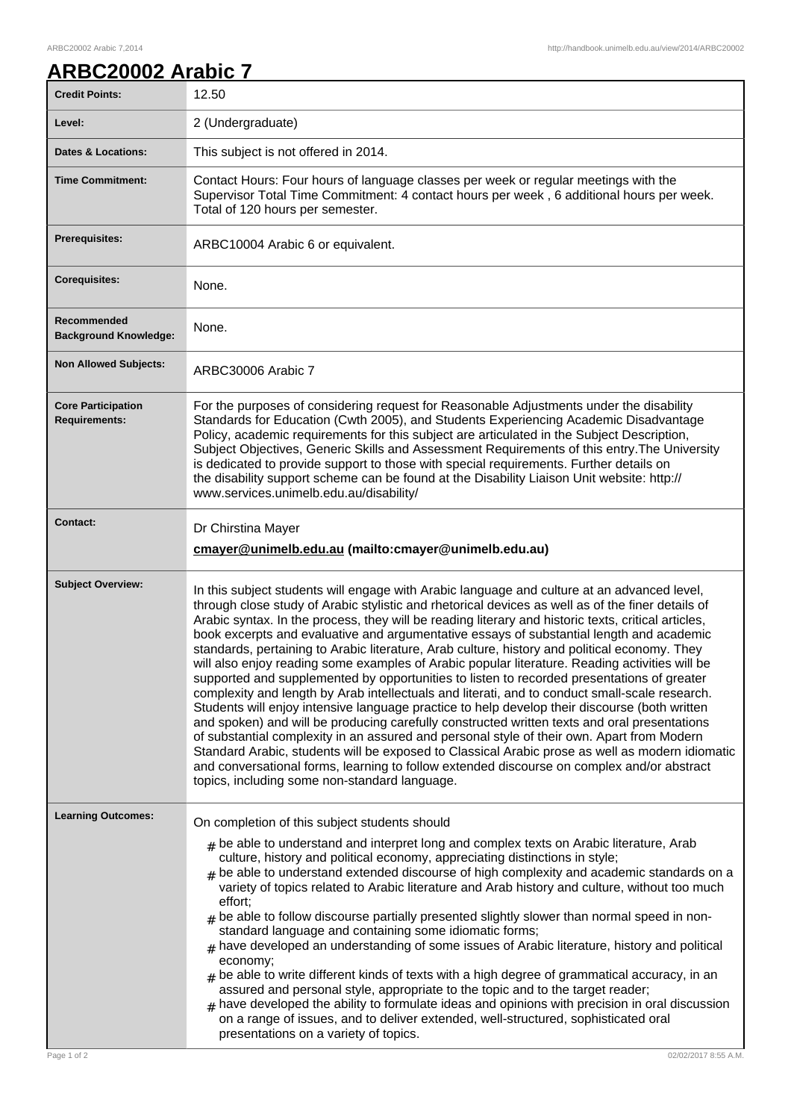## **ARBC20002 Arabic 7**

| <b>Credit Points:</b>                             | 12.50                                                                                                                                                                                                                                                                                                                                                                                                                                                                                                                                                                                                                                                                                                                                                                                                                                                                                                                                                                                                                                                                                                                                                                                                                                                                                                                                                   |
|---------------------------------------------------|---------------------------------------------------------------------------------------------------------------------------------------------------------------------------------------------------------------------------------------------------------------------------------------------------------------------------------------------------------------------------------------------------------------------------------------------------------------------------------------------------------------------------------------------------------------------------------------------------------------------------------------------------------------------------------------------------------------------------------------------------------------------------------------------------------------------------------------------------------------------------------------------------------------------------------------------------------------------------------------------------------------------------------------------------------------------------------------------------------------------------------------------------------------------------------------------------------------------------------------------------------------------------------------------------------------------------------------------------------|
| Level:                                            | 2 (Undergraduate)                                                                                                                                                                                                                                                                                                                                                                                                                                                                                                                                                                                                                                                                                                                                                                                                                                                                                                                                                                                                                                                                                                                                                                                                                                                                                                                                       |
| <b>Dates &amp; Locations:</b>                     | This subject is not offered in 2014.                                                                                                                                                                                                                                                                                                                                                                                                                                                                                                                                                                                                                                                                                                                                                                                                                                                                                                                                                                                                                                                                                                                                                                                                                                                                                                                    |
| <b>Time Commitment:</b>                           | Contact Hours: Four hours of language classes per week or regular meetings with the<br>Supervisor Total Time Commitment: 4 contact hours per week, 6 additional hours per week.<br>Total of 120 hours per semester.                                                                                                                                                                                                                                                                                                                                                                                                                                                                                                                                                                                                                                                                                                                                                                                                                                                                                                                                                                                                                                                                                                                                     |
| <b>Prerequisites:</b>                             | ARBC10004 Arabic 6 or equivalent.                                                                                                                                                                                                                                                                                                                                                                                                                                                                                                                                                                                                                                                                                                                                                                                                                                                                                                                                                                                                                                                                                                                                                                                                                                                                                                                       |
| <b>Corequisites:</b>                              | None.                                                                                                                                                                                                                                                                                                                                                                                                                                                                                                                                                                                                                                                                                                                                                                                                                                                                                                                                                                                                                                                                                                                                                                                                                                                                                                                                                   |
| Recommended<br><b>Background Knowledge:</b>       | None.                                                                                                                                                                                                                                                                                                                                                                                                                                                                                                                                                                                                                                                                                                                                                                                                                                                                                                                                                                                                                                                                                                                                                                                                                                                                                                                                                   |
| <b>Non Allowed Subjects:</b>                      | ARBC30006 Arabic 7                                                                                                                                                                                                                                                                                                                                                                                                                                                                                                                                                                                                                                                                                                                                                                                                                                                                                                                                                                                                                                                                                                                                                                                                                                                                                                                                      |
| <b>Core Participation</b><br><b>Requirements:</b> | For the purposes of considering request for Reasonable Adjustments under the disability<br>Standards for Education (Cwth 2005), and Students Experiencing Academic Disadvantage<br>Policy, academic requirements for this subject are articulated in the Subject Description,<br>Subject Objectives, Generic Skills and Assessment Requirements of this entry. The University<br>is dedicated to provide support to those with special requirements. Further details on<br>the disability support scheme can be found at the Disability Liaison Unit website: http://<br>www.services.unimelb.edu.au/disability/                                                                                                                                                                                                                                                                                                                                                                                                                                                                                                                                                                                                                                                                                                                                        |
| <b>Contact:</b>                                   | Dr Chirstina Mayer<br>cmayer@unimelb.edu.au (mailto:cmayer@unimelb.edu.au)                                                                                                                                                                                                                                                                                                                                                                                                                                                                                                                                                                                                                                                                                                                                                                                                                                                                                                                                                                                                                                                                                                                                                                                                                                                                              |
| <b>Subject Overview:</b>                          | In this subject students will engage with Arabic language and culture at an advanced level,<br>through close study of Arabic stylistic and rhetorical devices as well as of the finer details of<br>Arabic syntax. In the process, they will be reading literary and historic texts, critical articles,<br>book excerpts and evaluative and argumentative essays of substantial length and academic<br>standards, pertaining to Arabic literature, Arab culture, history and political economy. They<br>will also enjoy reading some examples of Arabic popular literature. Reading activities will be<br>supported and supplemented by opportunities to listen to recorded presentations of greater<br>complexity and length by Arab intellectuals and literati, and to conduct small-scale research.<br>Students will enjoy intensive language practice to help develop their discourse (both written<br>and spoken) and will be producing carefully constructed written texts and oral presentations<br>of substantial complexity in an assured and personal style of their own. Apart from Modern<br>Standard Arabic, students will be exposed to Classical Arabic prose as well as modern idiomatic<br>and conversational forms, learning to follow extended discourse on complex and/or abstract<br>topics, including some non-standard language. |
| <b>Learning Outcomes:</b><br>Page 1 of 2          | On completion of this subject students should<br>$_{\#}$ be able to understand and interpret long and complex texts on Arabic literature, Arab<br>culture, history and political economy, appreciating distinctions in style;<br>$#$ be able to understand extended discourse of high complexity and academic standards on a<br>variety of topics related to Arabic literature and Arab history and culture, without too much<br>effort;<br>be able to follow discourse partially presented slightly slower than normal speed in non-<br>#<br>standard language and containing some idiomatic forms;<br>have developed an understanding of some issues of Arabic literature, history and political<br>#<br>economy;<br>be able to write different kinds of texts with a high degree of grammatical accuracy, in an<br>#<br>assured and personal style, appropriate to the topic and to the target reader;<br>have developed the ability to formulate ideas and opinions with precision in oral discussion<br>#<br>on a range of issues, and to deliver extended, well-structured, sophisticated oral<br>presentations on a variety of topics.<br>02/02/2017 8:55 A.M.                                                                                                                                                                                   |